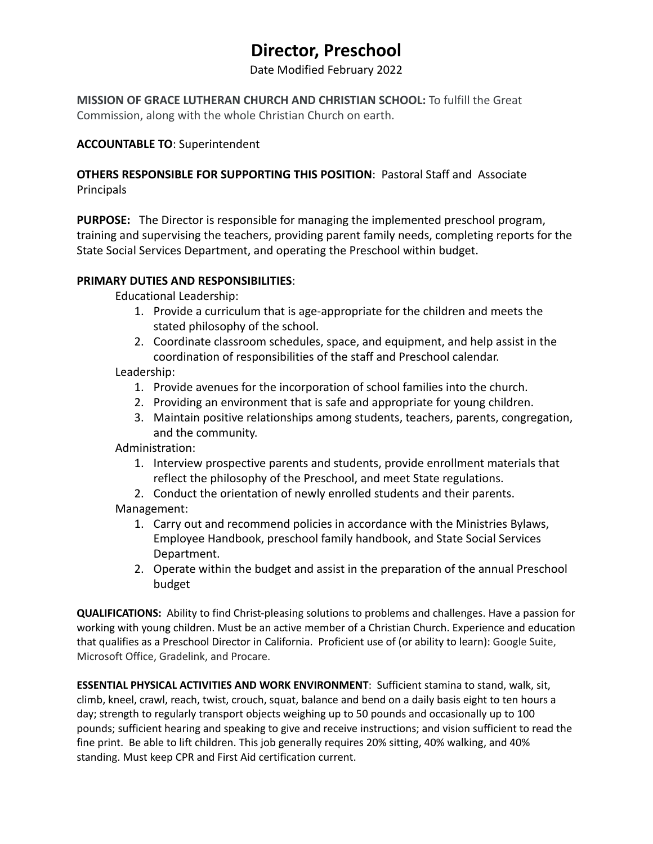# **Director, Preschool**

Date Modified February 2022

**MISSION OF GRACE LUTHERAN CHURCH AND CHRISTIAN SCHOOL:** To fulfill the Great Commission, along with the whole Christian Church on earth.

### **ACCOUNTABLE TO**: Superintendent

**OTHERS RESPONSIBLE FOR SUPPORTING THIS POSITION**: Pastoral Staff and Associate Principals

**PURPOSE:** The Director is responsible for managing the implemented preschool program, training and supervising the teachers, providing parent family needs, completing reports for the State Social Services Department, and operating the Preschool within budget.

### **PRIMARY DUTIES AND RESPONSIBILITIES**:

Educational Leadership:

- 1. Provide a curriculum that is age-appropriate for the children and meets the stated philosophy of the school.
- 2. Coordinate classroom schedules, space, and equipment, and help assist in the coordination of responsibilities of the staff and Preschool calendar.

### Leadership:

- 1. Provide avenues for the incorporation of school families into the church.
- 2. Providing an environment that is safe and appropriate for young children.
- 3. Maintain positive relationships among students, teachers, parents, congregation, and the community.

Administration:

- 1. Interview prospective parents and students, provide enrollment materials that reflect the philosophy of the Preschool, and meet State regulations.
- 2. Conduct the orientation of newly enrolled students and their parents.
- Management:
	- 1. Carry out and recommend policies in accordance with the Ministries Bylaws, Employee Handbook, preschool family handbook, and State Social Services Department.
	- 2. Operate within the budget and assist in the preparation of the annual Preschool budget

**QUALIFICATIONS:** Ability to find Christ-pleasing solutions to problems and challenges. Have a passion for working with young children. Must be an active member of a Christian Church. Experience and education that qualifies as a Preschool Director in California. Proficient use of (or ability to learn): Google Suite, Microsoft Office, Gradelink, and Procare.

**ESSENTIAL PHYSICAL ACTIVITIES AND WORK ENVIRONMENT**: Sufficient stamina to stand, walk, sit, climb, kneel, crawl, reach, twist, crouch, squat, balance and bend on a daily basis eight to ten hours a day; strength to regularly transport objects weighing up to 50 pounds and occasionally up to 100 pounds; sufficient hearing and speaking to give and receive instructions; and vision sufficient to read the fine print. Be able to lift children. This job generally requires 20% sitting, 40% walking, and 40% standing. Must keep CPR and First Aid certification current.